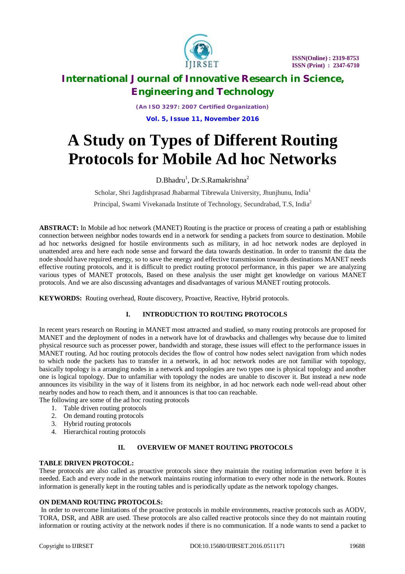

# **International Journal of Innovative Research in Science, Engineering and Technology**

*(An ISO 3297: 2007 Certified Organization)* **Vol. 5, Issue 11, November 2016**

# **A Study on Types of Different Routing Protocols for Mobile Ad hoc Networks**

 $D.Bhadru<sup>1</sup>, Dr.S.Ramakrishna<sup>2</sup>$ 

Scholar, Shri Jagdishprasad Jhabarmal Tibrewala University, Jhunihunu, India<sup>1</sup> Principal, Swami Vivekanada Institute of Technology, Secundrabad, T.S, India<sup>2</sup>

**ABSTRACT:** In Mobile ad hoc network (MANET) Routing is the practice or process of creating a path or establishing connection between neighbor nodes towards end in a network for sending a packets from source to destination. Mobile ad hoc networks designed for hostile environments such as military, in ad hoc network nodes are deployed in unattended area and here each node sense and forward the data towards destination. In order to transmit the data the node should have required energy, so to save the energy and effective transmission towards destinations MANET needs effective routing protocols, and it is difficult to predict routing protocol performance, in this paper we are analyzing various types of MANET protocols, Based on these analysis the user might get knowledge on various MANET protocols. And we are also discussing advantages and disadvantages of various MANET routing protocols.

**KEYWORDS:** Routing overhead, Route discovery, Proactive, Reactive, Hybrid protocols.

## **I. INTRODUCTION TO ROUTING PROTOCOLS**

In recent years research on Routing in MANET most attracted and studied, so many routing protocols are proposed for MANET and the deployment of nodes in a network have lot of drawbacks and challenges why because due to limited physical resource such as processer power, bandwidth and storage, these issues will effect to the performance issues in MANET routing. Ad hoc routing protocols decides the flow of control how nodes select navigation from which nodes to which node the packets has to transfer in a network, in ad hoc network nodes are not familiar with topology, basically topology is a arranging nodes in a network and topologies are two types one is physical topology and another one is logical topology. Due to unfamiliar with topology the nodes are unable to discover it. But instead a new node announces its visibility in the way of it listens from its neighbor, in ad hoc network each node well-read about other nearby nodes and how to reach them, and it announces is that too can reachable.

The following are some of the ad hoc routing protocols

- 1. Table driven routing protocols
- 2. On demand routing protocols
- 3. Hybrid routing protocols
- 4. Hierarchical routing protocols

## **II. OVERVIEW OF MANET ROUTING PROTOCOLS**

#### **TABLE DRIVEN PROTOCOL:**

These protocols are also called as proactive protocols since they maintain the routing information even before it is needed. Each and every node in the network maintains routing information to every other node in the network. Routes information is generally kept in the routing tables and is periodically update as the network topology changes.

#### **ON DEMAND ROUTING PROTOCOLS:**

In order to overcome limitations of the proactive protocols in mobile environments, reactive protocols such as AODV, TORA, DSR, and ABR are used. These protocols are also called reactive protocols since they do not maintain routing information or routing activity at the network nodes if there is no communication. If a node wants to send a packet to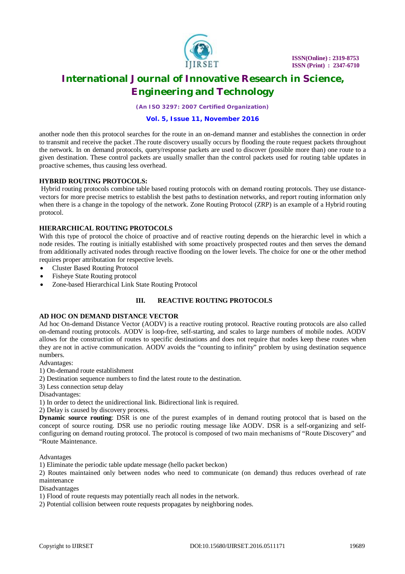

# **International Journal of Innovative Research in Science, Engineering and Technology**

*(An ISO 3297: 2007 Certified Organization)*

#### **Vol. 5, Issue 11, November 2016**

another node then this protocol searches for the route in an on-demand manner and establishes the connection in order to transmit and receive the packet .The route discovery usually occurs by flooding the route request packets throughout the network. In on demand protocols, query/response packets are used to discover (possible more than) one route to a given destination. These control packets are usually smaller than the control packets used for routing table updates in proactive schemes, thus causing less overhead.

#### **HYBRID ROUTING PROTOCOLS:**

Hybrid routing protocols combine table based routing protocols with on demand routing protocols. They use distancevectors for more precise metrics to establish the best paths to destination networks, and report routing information only when there is a change in the topology of the network. Zone Routing Protocol (ZRP) is an example of a Hybrid routing protocol.

## **HIERARCHICAL ROUTING PROTOCOLS**

With this type of protocol the choice of proactive and of reactive routing depends on the hierarchic level in which a node resides. The routing is initially established with some proactively prospected routes and then serves the demand from additionally activated nodes through reactive flooding on the lower levels. The choice for one or the other method requires proper attributation for respective levels.

- Cluster Based Routing Protocol
- Fisheye State Routing protocol
- Zone-based Hierarchical Link State Routing Protocol

## **III. REACTIVE ROUTING PROTOCOLS**

#### **AD HOC ON DEMAND DISTANCE VECTOR**

Ad hoc On-demand Distance Vector (AODV) is a reactive routing protocol. Reactive routing protocols are also called on-demand routing protocols. AODV is loop-free, self-starting, and scales to large numbers of mobile nodes. AODV allows for the construction of routes to specific destinations and does not require that nodes keep these routes when they are not in active communication. AODV avoids the "counting to infinity" problem by using destination sequence numbers.

Advantages:

1) On-demand route establishment

- 2) Destination sequence numbers to find the latest route to the destination.
- 3) Less connection setup delay

Disadvantages:

1) In order to detect the unidirectional link. Bidirectional link is required.

2) Delay is caused by discovery process.

**Dynamic source routing**: DSR is one of the purest examples of in demand routing protocol that is based on the concept of source routing. DSR use no periodic routing message like AODV. DSR is a self-organizing and selfconfiguring on demand routing protocol. The protocol is composed of two main mechanisms of "Route Discovery" and "Route Maintenance.

Advantages

1) Eliminate the periodic table update message (hello packet beckon)

2) Routes maintained only between nodes who need to communicate (on demand) thus reduces overhead of rate maintenance

Disadvantages

1) Flood of route requests may potentially reach all nodes in the network.

2) Potential collision between route requests propagates by neighboring nodes.